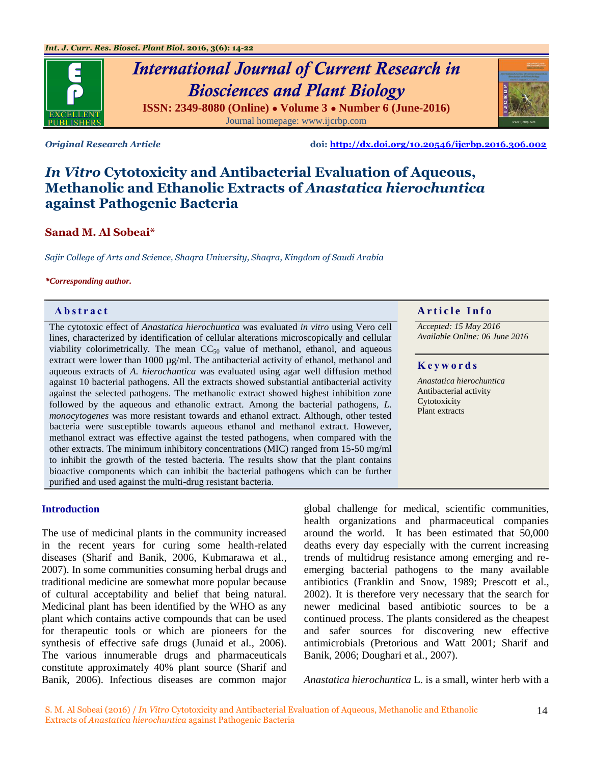

# *International Journal of Current Research in Biosciences and Plant Biology* **ISSN: 2349-8080 (Online) ● Volume 3 ● Number 6 (June-2016)** Journal homepage: [www.ijcrbp.com](http://www.ijcrbp.com/)



*Original Research Article* **doi:<http://dx.doi.org/10.20546/ijcrbp.2016.306.002>**

# *In Vitro* **Cytotoxicity and Antibacterial Evaluation of Aqueous, Methanolic and Ethanolic Extracts of** *Anastatica hierochuntica*  **against Pathogenic Bacteria**

# **Sanad M. Al Sobeai\***

*Sajir College of Arts and Science, Shaqra University, Shaqra, Kingdom of Saudi Arabia*

#### *\*Corresponding author.*

The cytotoxic effect of *Anastatica hierochuntica* was evaluated *in vitro* using Vero cell lines, characterized by identification of cellular alterations microscopically and cellular viability colorimetrically. The mean  $CC_{50}$  value of methanol, ethanol, and aqueous extract were lower than 1000 µg/ml. The antibacterial activity of ethanol, methanol and aqueous extracts of *A. hierochuntica* was evaluated using agar well diffusion method against 10 bacterial pathogens. All the extracts showed substantial antibacterial activity against the selected pathogens. The methanolic extract showed highest inhibition zone followed by the aqueous and ethanolic extract. Among the bacterial pathogens, *L. monocytogenes* was more resistant towards and ethanol extract. Although, other tested bacteria were susceptible towards aqueous ethanol and methanol extract. However, methanol extract was effective against the tested pathogens, when compared with the other extracts. The minimum inhibitory concentrations (MIC) ranged from 15-50 mg/ml to inhibit the growth of the tested bacteria. The results show that the plant contains bioactive components which can inhibit the bacterial pathogens which can be further purified and used against the multi-drug resistant bacteria.

# **Abstract A A** r ticle Info

*Accepted: 15 May 2016 Available Online: 06 June 2016*

# **K e y w o r d s**

*Anastatica hierochuntica*  Antibacterial activity Cytotoxicity Plant extracts

# **Introduction**

The use of medicinal plants in the community increased in the recent years for curing some health-related diseases (Sharif and Banik, 2006, Kubmarawa et al*.,* 2007). In some communities consuming herbal drugs and traditional medicine are somewhat more popular because of cultural acceptability and belief that being natural. Medicinal plant has been identified by the WHO as any plant which contains active compounds that can be used for therapeutic tools or which are pioneers for the synthesis of effective safe drugs (Junaid et al*.,* 2006). The various innumerable drugs and pharmaceuticals constitute approximately 40% plant source (Sharif and Banik, 2006). Infectious diseases are common major global challenge for medical, scientific communities, health organizations and pharmaceutical companies around the world. It has been estimated that 50,000 deaths every day especially with the current increasing trends of multidrug resistance among emerging and reemerging bacterial pathogens to the many available antibiotics (Franklin and Snow, 1989; Prescott et al*.,* 2002). It is therefore very necessary that the search for newer medicinal based antibiotic sources to be a continued process. The plants considered as the cheapest and safer sources for discovering new effective antimicrobials (Pretorious and Watt 2001; Sharif and Banik, 2006; Doughari et al*.,* 2007).

*Anastatica hierochuntica* L. is a small, winter herb with a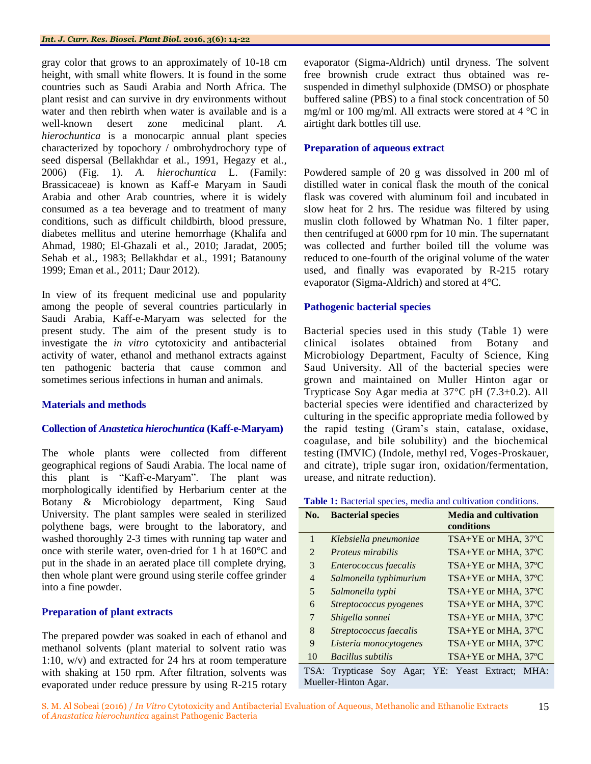#### *Int. J. Curr. Res. Biosci. Plant Biol.* **2016, 3(6): 14-22**

gray color that grows to an approximately of 10-18 cm height, with small white flowers. It is found in the some countries such as Saudi Arabia and North Africa. The plant resist and can survive in dry environments without water and then rebirth when water is available and is a well-known desert zone medicinal plant. *A. hierochuntica* is a monocarpic annual plant species characterized by topochory / ombrohydrochory type of seed dispersal (Bellakhdar et al*.,* 1991, Hegazy et al*.,*  2006) (Fig. 1). *A. hierochuntica* L. (Family: Brassicaceae) is known as Kaff-e Maryam in Saudi Arabia and other Arab countries, where it is widely consumed as a tea beverage and to treatment of many conditions, such as difficult childbirth, blood pressure, diabetes mellitus and uterine hemorrhage (Khalifa and Ahmad, 1980; El-Ghazali et al*.,* 2010; Jaradat, 2005; Sehab et al*.,* 1983; Bellakhdar et al*.,* 1991; Batanouny 1999; Eman et al*.,* 2011; Daur 2012).

In view of its frequent medicinal use and popularity among the people of several countries particularly in Saudi Arabia, Kaff-e-Maryam was selected for the present study. The aim of the present study is to investigate the *in vitro* cytotoxicity and antibacterial activity of water, ethanol and methanol extracts against ten pathogenic bacteria that cause common and sometimes serious infections in human and animals.

# **Materials and methods**

## **Collection of** *Anastetica hierochuntica* **(Kaff-e-Maryam)**

The whole plants were collected from different geographical regions of Saudi Arabia. The local name of this plant is "Kaff-e-Maryam". The plant was morphologically identified by Herbarium center at the Botany & Microbiology department, King Saud University. The plant samples were sealed in sterilized polythene bags, were brought to the laboratory, and washed thoroughly 2-3 times with running tap water and once with sterile water, oven-dried for 1 h at 160°C and put in the shade in an aerated place till complete drying, then whole plant were ground using sterile coffee grinder into a fine powder.

# **Preparation of plant extracts**

The prepared powder was soaked in each of ethanol and methanol solvents (plant material to solvent ratio was 1:10, w/v) and extracted for 24 hrs at room temperature with shaking at 150 rpm. After filtration, solvents was evaporated under reduce pressure by using R-215 rotary evaporator (Sigma-Aldrich) until dryness. The solvent free brownish crude extract thus obtained was resuspended in dimethyl sulphoxide (DMSO) or phosphate buffered saline (PBS) to a final stock concentration of 50 mg/ml or 100 mg/ml. All extracts were stored at 4 °C in airtight dark bottles till use.

# **Preparation of aqueous extract**

Powdered sample of 20 g was dissolved in 200 ml of distilled water in conical flask the mouth of the conical flask was covered with aluminum foil and incubated in slow heat for 2 hrs. The residue was filtered by using muslin cloth followed by Whatman No. 1 filter paper, then centrifuged at 6000 rpm for 10 min. The supernatant was collected and further boiled till the volume was reduced to one-fourth of the original volume of the water used, and finally was evaporated by R-215 rotary evaporator (Sigma-Aldrich) and stored at 4°C.

# **Pathogenic bacterial species**

Bacterial species used in this study (Table 1) were clinical isolates obtained from Botany and Microbiology Department, Faculty of Science, King Saud University. All of the bacterial species were grown and maintained on Muller Hinton agar or Trypticase Soy Agar media at 37°C pH (7.3±0.2). All bacterial species were identified and characterized by culturing in the specific appropriate media followed by the rapid testing (Gram's stain, catalase, oxidase, coagulase, and bile solubility) and the biochemical testing (IMVIC) (Indole, methyl red, Voges-Proskauer, and citrate), triple sugar iron, oxidation/fermentation, urease, and nitrate reduction).

| Table 1: Bacterial species, media and cultivation conditions. |  |  |  |  |
|---------------------------------------------------------------|--|--|--|--|
|---------------------------------------------------------------|--|--|--|--|

| No.                         | <b>Bacterial species</b> | <b>Media and cultivation</b><br>conditions |
|-----------------------------|--------------------------|--------------------------------------------|
| $\mathbf{1}$                | Klebsiella pneumoniae    | TSA+YE or MHA, 37°C                        |
| $\mathcal{D}_{\mathcal{L}}$ | <i>Proteus mirabilis</i> | TSA+YE or MHA, 37°C                        |
| 3                           | Enterococcus faecalis    | TSA+YE or MHA, 37°C                        |
| $\overline{4}$              | Salmonella typhimurium   | TSA+YE or MHA, 37°C                        |
| 5                           | Salmonella typhi         | TSA+YE or MHA, 37°C                        |
| 6                           | Streptococcus pyogenes   | TSA+YE or MHA, 37°C                        |
| 7                           | Shigella sonnei          | TSA+YE or MHA, 37°C                        |
| 8                           | Streptococcus faecalis   | TSA+YE or MHA, 37°C                        |
| 9                           | Listeria monocytogenes   | TSA+YE or MHA, 37°C                        |
| 10                          | <b>Bacillus</b> subtilis | TSA+YE or MHA, 37°C                        |
|                             |                          |                                            |

TSA: Trypticase Soy Agar; YE: Yeast Extract; MHA: Mueller-Hinton Agar.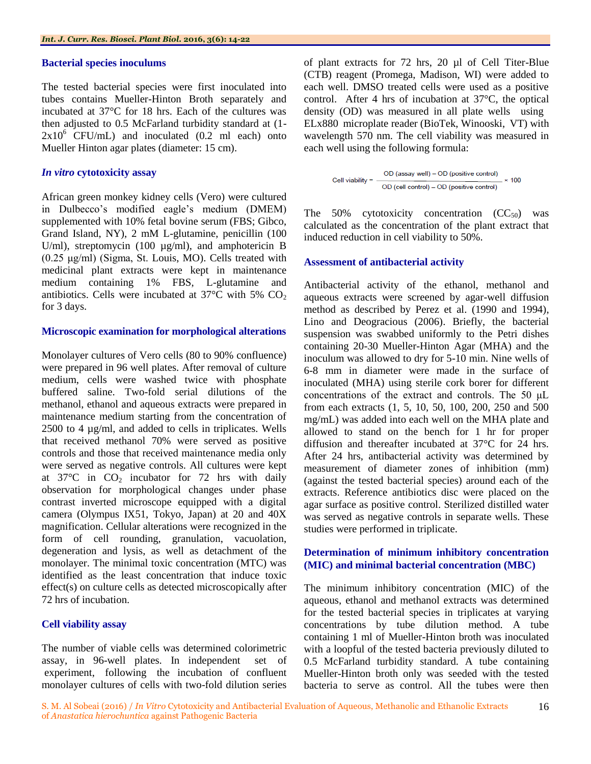# **Bacterial species inoculums**

The tested bacterial species were first inoculated into tubes contains Mueller-Hinton Broth separately and incubated at 37°C for 18 hrs. Each of the cultures was then adjusted to 0.5 McFarland turbidity standard at (1-  $2x10^6$  CFU/mL) and inoculated (0.2 ml each) onto Mueller Hinton agar plates (diameter: 15 cm).

# *In vitro* **cytotoxicity assay**

African green monkey kidney cells (Vero) were cultured in Dulbecco's modified eagle's medium (DMEM) supplemented with 10% fetal bovine serum (FBS; Gibco, Grand Island, NY), 2 mM L-glutamine, penicillin (100 U/ml), streptomycin (100  $\mu$ g/ml), and amphotericin B (0.25 μg/ml) (Sigma, St. Louis, MO). Cells treated with medicinal plant extracts were kept in maintenance medium containing 1% FBS, L-glutamine and antibiotics. Cells were incubated at  $37^{\circ}$ C with 5% CO<sub>2</sub> for 3 days.

# **Microscopic examination for morphological alterations**

Monolayer cultures of Vero cells (80 to 90% confluence) were prepared in 96 well plates. After removal of culture medium, cells were washed twice with phosphate buffered saline. Two-fold serial dilutions of the methanol, ethanol and aqueous extracts were prepared in maintenance medium starting from the concentration of 2500 to 4 µg/ml, and added to cells in triplicates. Wells that received methanol 70% were served as positive controls and those that received maintenance media only were served as negative controls. All cultures were kept at  $37^{\circ}$ C in  $CO_2$  incubator for 72 hrs with daily observation for morphological changes under phase contrast inverted microscope equipped with a digital camera (Olympus IX51, Tokyo, Japan) at 20 and 40X magnification. Cellular alterations were recognized in the form of cell rounding, granulation, vacuolation, degeneration and lysis, as well as detachment of the monolayer. The minimal toxic concentration (MTC) was identified as the least concentration that induce toxic effect(s) on culture cells as detected microscopically after 72 hrs of incubation.

# **Cell viability assay**

The number of viable cells was determined colorimetric assay, in 96-well plates. In independent set of experiment, following the incubation of confluent monolayer cultures of cells with two-fold dilution series

of plant extracts for 72 hrs, 20 µl of Cell Titer-Blue (CTB) reagent (Promega, Madison, WI) were added to each well. DMSO treated cells were used as a positive control. After 4 hrs of incubation at 37°C, the optical density (OD) was measured in all plate wells using ELx880 microplate reader (BioTek, Winooski, VT) with wavelength 570 nm. The cell viability was measured in each well using the following formula:

Cell viability = 
$$
\frac{OD (assay well) - OD (positive control)}{OD (cell control) - OD (positive control)} \times 100
$$

The 50% cytotoxicity concentration  $(CC<sub>50</sub>)$  was calculated as the concentration of the plant extract that induced reduction in cell viability to 50%.

# **Assessment of antibacterial activity**

Antibacterial activity of the ethanol, methanol and aqueous extracts were screened by agar-well diffusion method as described by [Perez et al.](http://scialert.net/fulltext/?doi=jm.2012.59.67#63474_ja) (1990 and 1994), Lino and Deogracious (2006). Briefly, the bacterial suspension was swabbed uniformly to the Petri dishes containing 20-30 Mueller-Hinton Agar (MHA) and the inoculum was allowed to dry for 5-10 min. Nine wells of 6-8 mm in diameter were made in the surface of inoculated (MHA) using sterile cork borer for different concentrations of the extract and controls. The 50 μL from each extracts (1, 5, 10, 50, 100, 200, 250 and 500 mg/mL) was added into each well on the MHA plate and allowed to stand on the bench for 1 hr for proper diffusion and thereafter incubated at 37°C for 24 hrs. After 24 hrs, antibacterial activity was determined by measurement of diameter zones of inhibition (mm) (against the tested bacterial species) around each of the extracts. Reference antibiotics disc were placed on the agar surface as positive control. Sterilized distilled water was served as negative controls in separate wells. These studies were performed in triplicate.

# **Determination of minimum inhibitory concentration (MIC) and minimal bacterial concentration (MBC)**

The minimum inhibitory concentration (MIC) of the aqueous, ethanol and methanol extracts was determined for the tested bacterial species in triplicates at varying concentrations by tube dilution method. A tube containing 1 ml of Mueller-Hinton broth was inoculated with a loopful of the tested bacteria previously diluted to 0.5 McFarland turbidity standard. A tube containing Mueller-Hinton broth only was seeded with the tested bacteria to serve as control. All the tubes were then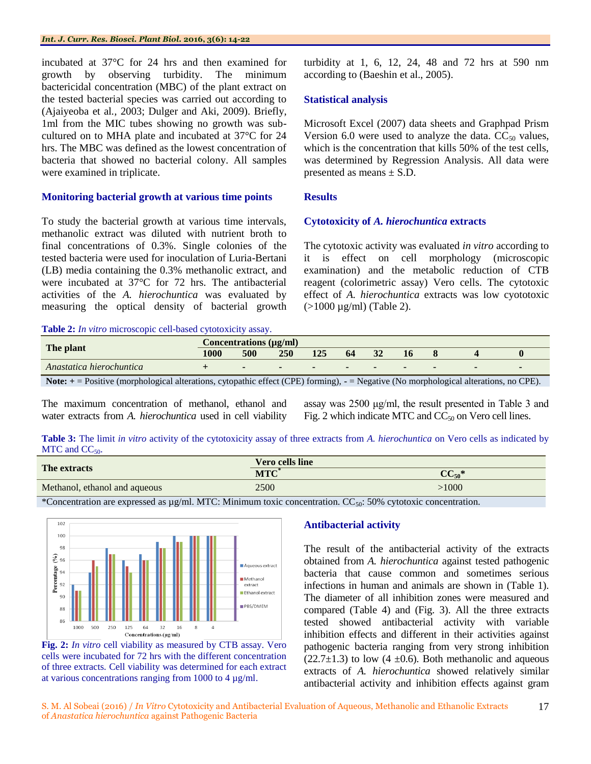incubated at 37°C for 24 hrs and then examined for growth by observing turbidity. The minimum bactericidal concentration (MBC) of the plant extract on the tested bacterial species was carried out according to (Ajaiyeoba et al*.,* 2003; [Dulger and Aki, 2009\)](http://scialert.net/fulltext/?doi=jm.2012.59.67#875671_ja). Briefly, 1ml from the MIC tubes showing no growth was subcultured on to MHA plate and incubated at 37°C for 24 hrs. The MBC was defined as the lowest concentration of bacteria that showed no bacterial colony. All samples were examined in triplicate.

# **Monitoring bacterial growth at various time points**

To study the bacterial growth at various time intervals, methanolic extract was diluted with nutrient broth to final concentrations of 0.3%. Single colonies of the tested bacteria were used for inoculation of Luria-Bertani (LB) media containing the 0.3% methanolic extract, and were incubated at 37°C for 72 hrs. The antibacterial activities of the *A. hierochuntica* was evaluated by measuring the optical density of bacterial growth turbidity at 1, 6, 12, 24, 48 and 72 hrs at 590 nm according to (Baeshin et al., 2005).

# **Statistical analysis**

Microsoft Excel (2007) data sheets and Graphpad Prism Version 6.0 were used to analyze the data.  $CC_{50}$  values, which is the concentration that kills 50% of the test cells, was determined by Regression Analysis. All data were presented as means  $\pm$  S.D.

# **Results**

# **Cytotoxicity of** *A. hierochuntica* **extracts**

The cytotoxic activity was evaluated *in vitro* according to it is effect on cell morphology (microscopic examination) and the metabolic reduction of CTB reagent (colorimetric assay) Vero cells. The cytotoxic effect of *A. hierochuntica* extracts was low cyototoxic (>1000 µg/ml) (Table 2).

#### **Table 2:** *In vitro* microscopic cell-based cytotoxicity assay.

|                                                                                                                                                  | Concentrations $(\mu\alpha/m)$ |               |            |               |    |        |        |  |                          |
|--------------------------------------------------------------------------------------------------------------------------------------------------|--------------------------------|---------------|------------|---------------|----|--------|--------|--|--------------------------|
| The plant                                                                                                                                        | 1000                           | 500           | <b>250</b> | 125           | 64 |        | - 16   |  |                          |
| Anastatica hierochuntica                                                                                                                         |                                | $\sim$ $\sim$ | $\sim$     | $\sim$ $\sim$ |    | $\sim$ | $\sim$ |  | $\overline{\phantom{0}}$ |
| <b>Note:</b> $+$ = Positive (morphological alterations, cytopathic effect (CPE) forming), $-$ = Negative (No morphological alterations, no CPE). |                                |               |            |               |    |        |        |  |                          |

The maximum concentration of methanol, ethanol and water extracts from *A. hierochuntica* used in cell viability

assay was 2500 μg/ml, the result presented in Table 3 and Fig. 2 which indicate MTC and  $CC_{50}$  on Vero cell lines.

**Table 3:** The limit *in vitro* activity of the cytotoxicity assay of three extracts from *A. hierochuntica* on Vero cells as indicated by MTC and  $CC_{50}$ .

| The extracts                  | Vero cells line  |            |  |  |  |
|-------------------------------|------------------|------------|--|--|--|
|                               | MTC <sup>'</sup> | $CC_{50}*$ |  |  |  |
| Methanol, ethanol and aqueous | 2500             | >1000      |  |  |  |

\*Concentration are expressed as µg/ml. MTC: Minimum toxic concentration. CC<sub>50</sub>: 50% cytotoxic concentration.





# **Antibacterial activity**

The result of the antibacterial activity of the extracts obtained from *A. hierochuntica* against tested pathogenic bacteria that cause common and sometimes serious infections in human and animals are shown in [\(Table 1\)](http://www.sciencedirect.com/science/article/pii/S101836471200050X#t0005). The diameter of all inhibition zones were measured and compared (Table 4) and (Fig. 3). All the three extracts tested showed antibacterial activity with variable inhibition effects and different in their activities against pathogenic bacteria ranging from very strong inhibition  $(22.7\pm1.3)$  to low  $(4 \pm 0.6)$ . Both methanolic and aqueous extracts of *A. hierochuntica* showed relatively similar antibacterial activity and inhibition effects against gram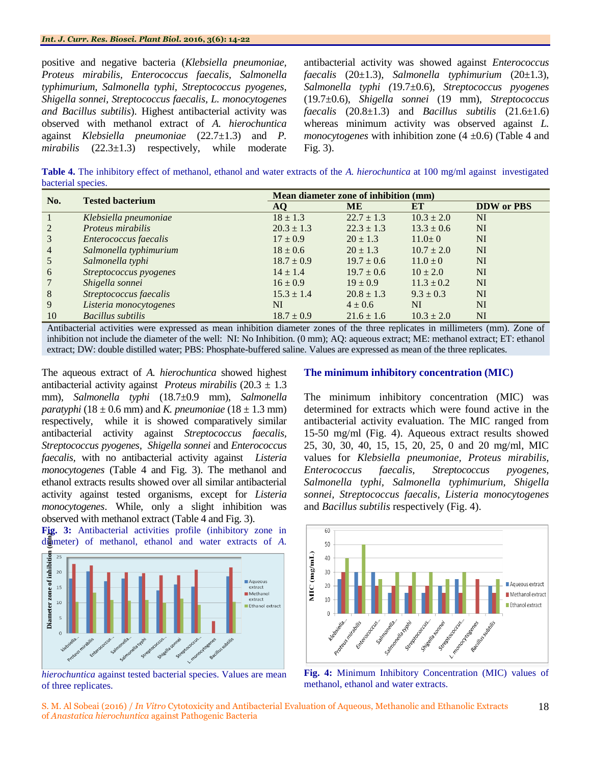#### *Int. J. Curr. Res. Biosci. Plant Biol.* **2016, 3(6): 14-22**

positive and negative bacteria (*Klebsiella pneumoniae, Proteus mirabilis, Enterococcus faecalis, Salmonella typhimurium, Salmonella typhi, Streptococcus pyogenes, Shigella sonnei, Streptococcus faecalis, L. monocytogenes and Bacillus subtilis*). Highest antibacterial activity was observed with methanol extract of *A. hierochuntica* against *Klebsiella pneumoniae* (22.7±1.3) and *P. mirabilis* (22.3±1.3) respectively, while moderate

antibacterial activity was showed against *Enterococcus faecalis* (20±1.3), *Salmonella typhimurium* (20±1.3), *Salmonella typhi (*19.7±0.6), *Streptococcus pyogenes* (19.7±0.6), *Shigella sonnei* (19 mm), *Streptococcus faecalis*  $(20.8\pm1.3)$  and *Bacillus subtilis*  $(21.6\pm1.6)$ whereas minimum activity was observed against *L. monocytogenes* with inhibition zone  $(4 \pm 0.6)$  [\(Table 4](http://www.sciencedirect.com/science/article/pii/S101836471200050X#t0005) and Fig. 3).

**Table 4.** The inhibitory effect of methanol, ethanol and water extracts of the *A. hierochuntica* at 100 mg/ml against investigated bacterial species.

| No.             | <b>Tested bacterium</b>  | Mean diameter zone of inhibition (mm) |                |                |                   |  |  |
|-----------------|--------------------------|---------------------------------------|----------------|----------------|-------------------|--|--|
|                 |                          | AO                                    | <b>ME</b>      | ET             | <b>DDW</b> or PBS |  |  |
|                 | Klebsiella pneumoniae    | $18 \pm 1.3$                          | $22.7 \pm 1.3$ | $10.3 \pm 2.0$ | NI                |  |  |
| 2               | Proteus mirabilis        | $20.3 \pm 1.3$                        | $22.3 \pm 1.3$ | $13.3 \pm 0.6$ | NI                |  |  |
| $\overline{3}$  | Enterococcus faecalis    | $17 \pm 0.9$                          | $20 \pm 1.3$   | $11.0 \pm 0$   | <b>NI</b>         |  |  |
| $\overline{4}$  | Salmonella typhimurium   | $18 \pm 0.6$                          | $20 \pm 1.3$   | $10.7 \pm 2.0$ | NI                |  |  |
| 5               | Salmonella typhi         | $18.7 \pm 0.9$                        | $19.7 \pm 0.6$ | $11.0 \pm 0$   | NI                |  |  |
| 6               | Streptococcus pyogenes   | $14 \pm 1.4$                          | $19.7 \pm 0.6$ | $10 \pm 2.0$   | NI                |  |  |
| $7 \frac{1}{2}$ | Shigella sonnei          | $16 \pm 0.9$                          | $19 \pm 0.9$   | $11.3 \pm 0.2$ | NI                |  |  |
| 8               | Streptococcus faecalis   | $15.3 \pm 1.4$                        | $20.8 \pm 1.3$ | $9.3 \pm 0.3$  | <b>NI</b>         |  |  |
| 9               | Listeria monocytogenes   | NI                                    | $4 \pm 0.6$    | NI             | NI                |  |  |
| 10              | <b>Bacillus subtilis</b> | $18.7 \pm 0.9$                        | $21.6 \pm 1.6$ | $10.3 \pm 2.0$ | NI                |  |  |

Antibacterial activities were expressed as mean inhibition diameter zones of the three replicates in millimeters (mm). Zone of inhibition not include the diameter of the well: NI: No Inhibition. (0 mm); AQ: aqueous extract; ME: methanol extract; ET: ethanol extract; DW: double distilled water; PBS: Phosphate-buffered saline. Values are expressed as mean of the three replicates.

The aqueous extract of *A. hierochuntica* showed highest antibacterial activity against *Proteus mirabilis* (20.3 ± 1.3 mm), *Salmonella typhi* (18.7±0.9 mm), *Salmonella paratyphi* (18  $\pm$  0.6 mm) and *K. pneumoniae* (18  $\pm$  1.3 mm) respectively, while it is showed comparatively similar antibacterial activity against *Streptococcus faecalis, Streptococcus pyogenes, Shigella sonnei* and *Enterococcus faecalis,* with no antibacterial activity against *Listeria monocytogenes* [\(Table 4](http://www.sciencedirect.com/science/article/pii/S101836471200050X#t0005) and Fig. 3). The methanol and ethanol extracts results showed over all similar antibacterial activity against tested organisms, except for *Listeria monocytogenes*. While, only a slight inhibition was observed with methanol extract [\(Table 4](http://www.sciencedirect.com/science/article/pii/S101836471200050X#t0005) and Fig. 3).

**Fig. 3:** Antibacterial activities profile (inhibitory zone in diameter) of methanol, ethanol and water extracts of *A.* 



*hierochuntica* against tested bacterial species. Values are mean of three replicates.

# **The minimum inhibitory concentration (MIC)**

The minimum inhibitory concentration (MIC) was determined for extracts which were found active in the antibacterial activity evaluation. The MIC ranged from 15-50 mg/ml (Fig. 4). Aqueous extract results showed 25, 30, 30, 40, 15, 15, 20, 25, 0 and 20 mg/ml, MIC values for *Klebsiella pneumoniae, Proteus mirabilis, Enterococcus faecalis, Streptococcus pyogenes, Salmonella typhi, Salmonella typhimurium, Shigella sonnei, Streptococcus faecalis, Listeria monocytogenes* and *Bacillus subtilis* respectively (Fig. 4).



**Fig. 4:** Minimum Inhibitory Concentration (MIC) values of methanol, ethanol and water extracts.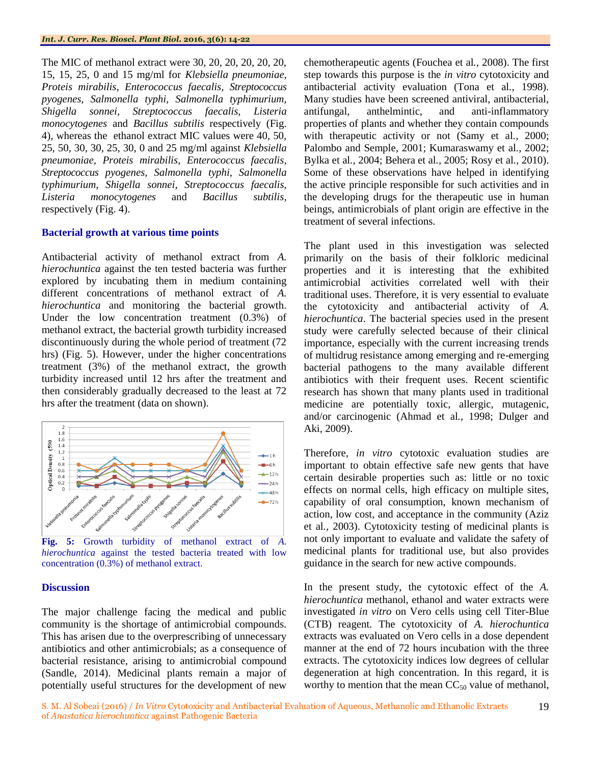The MIC of methanol extract were 30, 20, 20, 20, 20, 20, 15, 15, 25, 0 and 15 mg/ml for *Klebsiella pneumoniae, Proteis mirabilis, Enterococcus faecalis, Streptococcus pyogenes, Salmonella typhi, Salmonella typhimurium, Shigella sonnei, Streptococcus faecalis, Listeria monocytogenes* and *Bacillus subtilis* respectively (Fig. 4), whereas the ethanol extract MIC values were 40, 50, 25, 50, 30, 30, 25, 30, 0 and 25 mg/ml against *Klebsiella pneumoniae, Proteis mirabilis, Enterococcus faecalis, Streptococcus pyogenes, Salmonella typhi, Salmonella typhimurium, Shigella sonnei, Streptococcus faecalis, Listeria monocytogenes* and *Bacillus subtilis,*  respectively (Fig. 4).

## **Bacterial growth at various time points**

Antibacterial activity of methanol extract from *A. hierochuntica* against the ten tested bacteria was further explored by incubating them in medium containing different concentrations of methanol extract of *A. hierochuntica* and monitoring the bacterial growth. Under the low concentration treatment (0.3%) of methanol extract, the bacterial growth turbidity increased discontinuously during the whole period of treatment (72 hrs) (Fig. 5). However, under the higher concentrations treatment (3%) of the methanol extract, the growth turbidity increased until 12 hrs after the treatment and then considerably gradually decreased to the least at 72 hrs after the treatment (data on shown).



**Fig. 5:** Growth turbidity of methanol extract of *A. hierochuntica* against the tested bacteria treated with low concentration (0.3%) of methanol extract.

#### **Discussion**

The major challenge facing the medical and public community is the shortage of antimicrobial compounds. This has arisen due to the overprescribing of unnecessary antibiotics and other antimicrobials; as a consequence of bacterial resistance, arising to antimicrobial compound (Sandle, 2014). Medicinal plants remain a major of potentially useful structures for the development of new

chemotherapeutic agents (Fouchea et al*.,* 2008). The first step towards this purpose is the *in vitro* cytotoxicity and antibacterial activity evaluation (Tona et al*.,* 1998). Many studies have been screened antiviral, antibacterial, antifungal, anthelmintic, and anti-inflammatory properties of plants and whether they contain compounds with therapeutic activity or not (Samy et al*.,* 2000; Palombo and Semple, 2001; Kumaraswamy et al*.,* 2002; Bylka et al*.,* 2004; Behera et al*.,* 2005; Rosy et al*.,* 2010). Some of these observations have helped in identifying the active principle responsible for such activities and in the developing drugs for the therapeutic use in human beings, antimicrobials of plant origin are effective in the treatment of several infections.

The plant used in this investigation was selected primarily on the basis of their folkloric medicinal properties and it is interesting that the exhibited antimicrobial activities correlated well with their traditional uses. Therefore, it is very essential to evaluate the cytotoxicity and antibacterial activity of *A. hierochuntica*. The bacterial species used in the present study were carefully selected because of their clinical importance, especially with the current increasing trends of multidrug resistance among emerging and re-emerging bacterial pathogens to the many available different antibiotics with their frequent uses. Recent scientific research has shown that many plants used in traditional medicine are potentially toxic, allergic, mutagenic, and/or carcinogenic (Ahmad et al*.,* 1998; Dulger and Aki, 2009).

Therefore, *in vitro* cytotoxic evaluation studies are important to obtain effective safe new gents that have certain desirable properties such as: little or no toxic effects on normal cells, high efficacy on multiple sites, capability of oral consumption, known mechanism of action, low cost, and acceptance in the community (Aziz et al*.,* 2003). Cytotoxicity testing of medicinal plants is not only important to evaluate and validate the safety of medicinal plants for traditional use, but also provides guidance in the search for new active compounds.

In the present study, the cytotoxic effect of the *A. hierochuntica* methanol, ethanol and water extracts were investigated *in vitro* on Vero cells using cell Titer-Blue (CTB) reagent. The cytotoxicity of *A. hierochuntica* extracts was evaluated on Vero cells in a dose dependent manner at the end of 72 hours incubation with the three extracts. The cytotoxicity indices low degrees of cellular degeneration at high concentration. In this regard, it is worthy to mention that the mean  $CC_{50}$  value of methanol,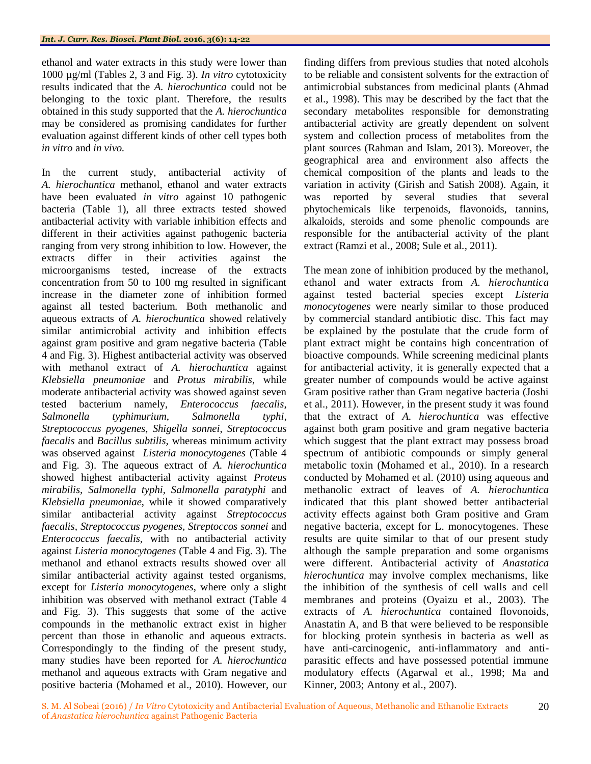ethanol and water extracts in this study were lower than 1000 µg/ml (Tables 2, 3 and Fig. 3). *In vitro* cytotoxicity results indicated that the *A. hierochuntica* could not be belonging to the toxic plant. Therefore, the results obtained in this study supported that the *A. hierochuntica*  may be considered as promising candidates for further evaluation against different kinds of other cell types both *in vitro* and *in vivo.*

In the current study, antibacterial activity of *A. hierochuntica* methanol, ethanol and water extracts have been evaluated *in vitro* against 10 pathogenic bacteria (Table 1), all three extracts tested showed antibacterial activity with variable inhibition effects and different in their activities against pathogenic bacteria ranging from very strong inhibition to low. However, the extracts differ in their activities against the microorganisms tested, increase of the extracts concentration from 50 to 100 mg resulted in significant increase in the diameter zone of inhibition formed against all tested bacterium*.* Both methanolic and aqueous extracts of *A. hierochuntica* showed relatively similar antimicrobial activity and inhibition effects against gram positive and gram negative bacteria (Table 4 and Fig. 3). Highest antibacterial activity was observed with methanol extract of *A. hierochuntica* against *Klebsiella pneumoniae* and *Protus mirabilis*, while moderate antibacterial activity was showed against seven tested bacterium namely, *Enterococcus faecalis*, *Salmonella typhimurium*, *Salmonella typhi, Streptococcus pyogenes*, *Shigella sonnei*, *Streptococcus faecalis* and *Bacillus subtilis,* whereas minimum activity was observed against *Listeria monocytogenes* (Table 4 and Fig. 3). The aqueous extract of *A. hierochuntica* showed highest antibacterial activity against *Proteus mirabilis, Salmonella typhi, Salmonella paratyphi* and *Klebsiella pneumoniae*, while it showed comparatively similar antibacterial activity against *Streptococcus faecalis, Streptococcus pyogenes, Streptoccos sonnei* and *Enterococcus faecalis,* with no antibacterial activity against *Listeria monocytogenes* (Table 4 and Fig. 3). The methanol and ethanol extracts results showed over all similar antibacterial activity against tested organisms, except for *Listeria monocytogenes*, where only a slight inhibition was observed with methanol extract (Table 4 and Fig. 3). This suggests that some of the active compounds in the methanolic extract exist in higher percent than those in ethanolic and aqueous extracts. Correspondingly to the finding of the present study, many studies have been reported for *A. hierochuntica* methanol and aqueous extracts with Gram negative and positive bacteria (Mohamed et al., 2010). However, our

finding differs from previous studies that noted alcohols to be reliable and consistent solvents for the extraction of antimicrobial substances from medicinal plants (Ahmad et al., 1998). This may be described by the fact that the secondary metabolites responsible for demonstrating antibacterial activity are greatly dependent on solvent system and collection process of metabolites from the plant sources (Rahman and Islam, 2013). Moreover, the geographical area and environment also affects the chemical composition of the plants and leads to the variation in activity (Girish and Satish 2008). Again, it was reported by several studies that several phytochemicals like terpenoids, flavonoids, tannins, alkaloids, steroids and some phenolic compounds are responsible for the antibacterial activity of the plant extract (Ramzi et al., 2008; Sule et al*.,* 2011).

The mean zone of inhibition produced by the methanol, ethanol and water extracts from *A. hierochuntica* against tested bacterial species except *Listeria monocytogenes* were nearly similar to those produced by commercial standard antibiotic disc. This fact may be explained by the postulate that the crude form of plant extract might be contains high concentration of bioactive compounds. While screening medicinal plants for antibacterial activity, it is generally expected that a greater number of compounds would be active against Gram positive rather than Gram negative bacteria (Joshi et al., 2011). However, in the present study it was found that the extract of *A. hierochuntica* was effective against both gram positive and gram negative bacteria which suggest that the plant extract may possess broad spectrum of antibiotic compounds or simply general metabolic toxin (Mohamed et al., 2010). In a research conducted by Mohamed et al. (2010) using aqueous and methanolic extract of leaves of *A. hierochuntica* indicated that this plant showed better antibacterial activity effects against both Gram positive and Gram negative bacteria, except for L. monocytogenes. These results are quite similar to that of our present study although the sample preparation and some organisms were different. Antibacterial activity of *Anastatica hierochuntica* may involve complex mechanisms, like the inhibition of the synthesis of cell walls and cell membranes and proteins (Oyaizu et al., 2003). The extracts of *A. hierochuntica* contained flovonoids, Anastatin A, and B that were believed to be responsible for blocking protein synthesis in bacteria as well as have anti-carcinogenic, anti-inflammatory and antiparasitic effects and have possessed potential immune modulatory effects (Agarwal et al*.,* 1998; Ma and Kinner, 2003; Antony et al., 2007).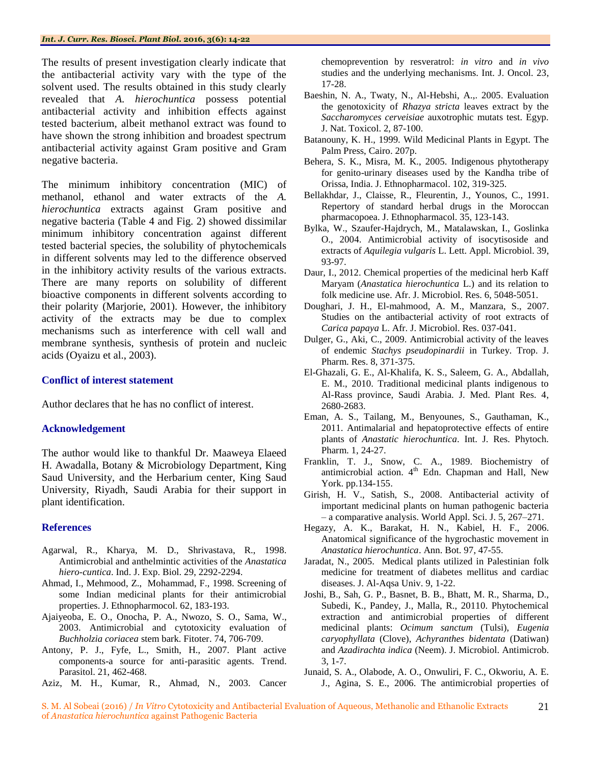The results of present investigation clearly indicate that the antibacterial activity vary with the type of the solvent used. The results obtained in this study clearly revealed that *A. hierochuntica* possess potential antibacterial activity and inhibition effects against tested bacterium, albeit methanol extract was found to have shown the strong inhibition and broadest spectrum antibacterial activity against Gram positive and Gram negative bacteria.

The minimum inhibitory concentration (MIC) of methanol, ethanol and water extracts of the *A. hierochuntica* extracts against Gram positive and negative bacteria (Table 4 and Fig. 2) showed dissimilar minimum inhibitory concentration against different tested bacterial species, the solubility of phytochemicals in different solvents may led to the difference observed in the inhibitory activity results of the various extracts. There are many reports on solubility of different bioactive components in different solvents according to their polarity (Marjorie, 2001). However, the inhibitory activity of the extracts may be due to complex mechanisms such as interference with cell wall and membrane synthesis, synthesis of protein and nucleic acids (Oyaizu et al., 2003).

# **Conflict of interest statement**

Author declares that he has no conflict of interest.

# **Acknowledgement**

The author would like to thankful Dr. Maaweya Elaeed H. Awadalla, Botany & Microbiology Department, King Saud University, and the Herbarium center, King Saud University, Riyadh, Saudi Arabia for their support in plant identification.

# **References**

- Agarwal, R., Kharya, M. D., Shrivastava, R., 1998. Antimicrobial and anthelmintic activities of the *Anastatica hiero-cuntica*. Ind. J. Exp. Biol. 29, 2292-2294.
- Ahmad, I., Mehmood, Z., Mohammad, F., 1998. Screening of some Indian medicinal plants for their antimicrobial properties. J. Ethnopharmocol. 62, 183-193.
- Ajaiyeoba, E. O., Onocha, P. A., Nwozo, S. O., Sama, W., 2003. Antimicrobial and cytotoxicity evaluation of *Buchholzia coriacea* stem bark. Fitoter. 74, 706-709.
- Antony, P. J., Fyfe, L., Smith, H., 2007. Plant active components-a source for anti-parasitic agents. Trend. Parasitol. 21, 462-468.
- Aziz, M. H., Kumar, R., Ahmad, N., 2003. Cancer

chemoprevention by resveratrol: *in vitro* and *in vivo* studies and the underlying mechanisms. Int. J. Oncol. 23, 17-28.

- Baeshin, N. A., Twaty, N., Al-Hebshi, A.,. 2005. Evaluation the genotoxicity of *Rhazya stricta* leaves extract by the *Saccharomyces cerveisiae* auxotrophic mutats test. Egyp. J. Nat. Toxicol. 2, 87-100.
- Batanouny, K. H., 1999. Wild Medicinal Plants in Egypt. The Palm Press, Cairo. 207p.
- Behera, S. K., Misra, M. K., 2005. Indigenous phytotherapy for genito-urinary diseases used by the Kandha tribe of Orissa, India. J. Ethnopharmacol. 102, 319-325.
- Bellakhdar, J., Claisse, R., Fleurentin, J., Younos, C., 1991. Repertory of standard herbal drugs in the Moroccan pharmacopoea. J. Ethnopharmacol. 35, 123-143.
- Bylka, W., Szaufer-Hajdrych, M., Matalawskan, I., Goslinka O., 2004. Antimicrobial activity of isocytisoside and extracts of *Aquilegia vulgaris* L. Lett. Appl. Microbiol. 39, 93-97.
- Daur, I., 2012. Chemical properties of the medicinal herb Kaff Maryam (*Anastatica hierochuntica* L.) and its relation to folk medicine use. Afr. J. Microbiol. Res. 6, 5048-5051.
- Doughari, J. H., El-mahmood, A. M., Manzara, S., 2007. Studies on the antibacterial activity of root extracts of *Carica papaya* L. Afr. J. Microbiol. Res. 037-041.
- Dulger, G., Aki, C., 2009. Antimicrobial activity of the leaves of endemic *Stachys pseudopinardii* in Turkey. Trop. J. Pharm. Res. 8, 371-375.
- El-Ghazali, G. E., Al-Khalifa, K. S., Saleem, G. A., Abdallah, E. M., 2010. Traditional medicinal plants indigenous to Al-Rass province, Saudi Arabia. J. Med. Plant Res. 4, 2680-2683.
- Eman, A. S., Tailang, M., Benyounes, S., Gauthaman, K., 2011. Antimalarial and hepatoprotective effects of entire plants of *Anastatic hierochuntica*. Int. J. Res. Phytoch. Pharm. 1, 24-27.
- Franklin, T. J., Snow, C. A., 1989. Biochemistry of antimicrobial action.  $4<sup>th</sup>$  Edn. Chapman and Hall, New York. pp.134-155.
- Girish, H. V., Satish, S., 2008. Antibacterial activity of important medicinal plants on human pathogenic bacteria – a comparative analysis. World Appl. Sci. J. 5, 267–271.
- Hegazy, A. K., Barakat, H. N., Kabiel, H. F., 2006. Anatomical significance of the hygrochastic movement in *Anastatica hierochuntica*. Ann. Bot. 97, 47-55.
- Jaradat, N., 2005. Medical plants utilized in Palestinian folk medicine for treatment of diabetes mellitus and cardiac diseases. J. Al-Aqsa Univ. 9, 1-22.
- Joshi, B., Sah, G. P., Basnet, B. B., Bhatt, M. R., Sharma, D., Subedi, K., Pandey, J., Malla, R., 20110. Phytochemical extraction and antimicrobial properties of different medicinal plants: *Ocimum sanctum* (Tulsi), *Eugenia caryophyllata* (Clove), *Achyranthes bidentata* (Datiwan) and *Azadirachta indica* (Neem). J. Microbiol. Antimicrob. 3, 1-7.
- Junaid, S. A., Olabode, A. O., Onwuliri, F. C., Okworiu, A. E. J., Agina, S. E., 2006. The antimicrobial properties of